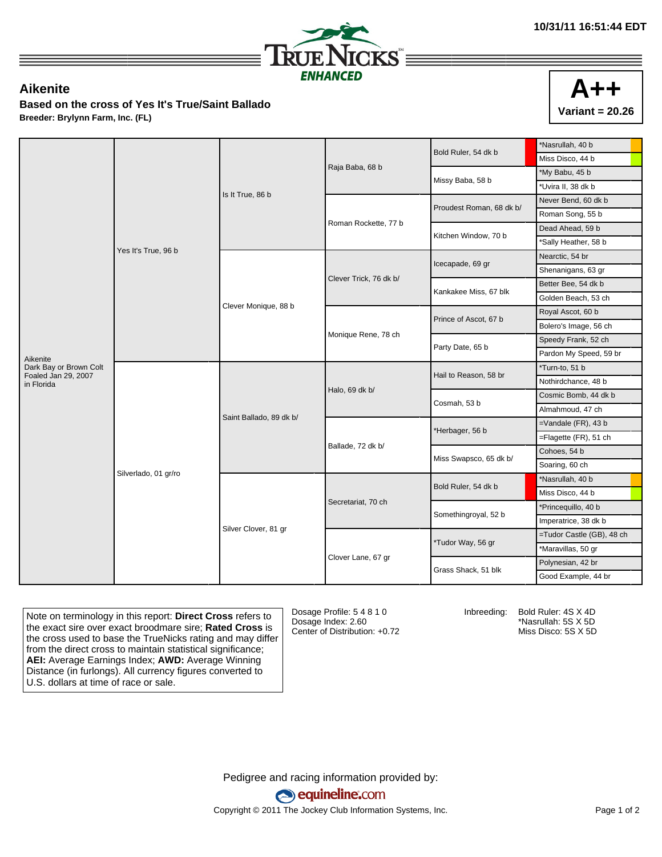

## **Aikenite**

**Based on the cross of Yes It's True/Saint Ballado Breeder: Brylynn Farm, Inc. (FL)**



|                                               | Yes It's True, 96 b  |                         |                        | Bold Ruler, 54 dk b      | *Nasrullah, 40 b          |
|-----------------------------------------------|----------------------|-------------------------|------------------------|--------------------------|---------------------------|
|                                               |                      |                         |                        |                          | Miss Disco, 44 b          |
|                                               |                      |                         | Raja Baba, 68 b        | Missy Baba, 58 b         | *My Babu, 45 b            |
|                                               |                      | Is It True, 86 b        |                        |                          | *Uvira II, 38 dk b        |
|                                               |                      |                         | Roman Rockette, 77 b   | Proudest Roman, 68 dk b/ | Never Bend, 60 dk b       |
|                                               |                      |                         |                        |                          | Roman Song, 55 b          |
|                                               |                      |                         |                        | Kitchen Window, 70 b     | Dead Ahead, 59 b          |
|                                               |                      |                         |                        |                          | *Sally Heather, 58 b      |
|                                               |                      | Clever Monique, 88 b    | Clever Trick, 76 dk b/ | Icecapade, 69 gr         | Nearctic, 54 br           |
|                                               |                      |                         |                        |                          | Shenanigans, 63 gr        |
|                                               |                      |                         |                        | Kankakee Miss, 67 blk    | Better Bee, 54 dk b       |
|                                               |                      |                         |                        |                          | Golden Beach, 53 ch       |
|                                               |                      |                         |                        | Prince of Ascot, 67 b    | Royal Ascot, 60 b         |
|                                               |                      |                         |                        |                          | Bolero's Image, 56 ch     |
|                                               |                      |                         | Monique Rene, 78 ch    | Party Date, 65 b         | Speedy Frank, 52 ch       |
| Aikenite                                      |                      |                         |                        |                          | Pardon My Speed, 59 br    |
| Dark Bay or Brown Colt<br>Foaled Jan 29, 2007 | Silverlado, 01 gr/ro | Saint Ballado, 89 dk b/ | Halo, 69 dk b/         | Hail to Reason, 58 br    | *Turn-to, 51 b            |
| in Florida                                    |                      |                         |                        |                          | Nothirdchance, 48 b       |
|                                               |                      |                         |                        | Cosmah, 53 b             | Cosmic Bomb, 44 dk b      |
|                                               |                      |                         |                        |                          | Almahmoud, 47 ch          |
|                                               |                      |                         | Ballade, 72 dk b/      | *Herbager, 56 b          | $=$ Vandale (FR), 43 b    |
|                                               |                      |                         |                        |                          | =Flagette (FR), 51 ch     |
|                                               |                      |                         |                        | Miss Swapsco, 65 dk b/   | Cohoes, 54 b              |
|                                               |                      |                         |                        |                          | Soaring, 60 ch            |
|                                               |                      | Silver Clover, 81 gr    | Secretariat, 70 ch     | Bold Ruler, 54 dk b      | *Nasrullah, 40 b          |
|                                               |                      |                         |                        |                          | Miss Disco, 44 b          |
|                                               |                      |                         |                        | Somethingroyal, 52 b     | *Princequillo, 40 b       |
|                                               |                      |                         |                        |                          | Imperatrice, 38 dk b      |
|                                               |                      |                         |                        | *Tudor Way, 56 gr        | =Tudor Castle (GB), 48 ch |
|                                               |                      |                         | Clover Lane, 67 gr     |                          | *Maravillas, 50 gr        |
|                                               |                      |                         |                        |                          | Polynesian, 42 br         |
|                                               |                      |                         |                        | Grass Shack, 51 blk      | Good Example, 44 br       |

Note on terminology in this report: **Direct Cross** refers to the exact sire over exact broodmare sire; **Rated Cross** is the cross used to base the TrueNicks rating and may differ from the direct cross to maintain statistical significance; **AEI:** Average Earnings Index; **AWD:** Average Winning Distance (in furlongs). All currency figures converted to U.S. dollars at time of race or sale.

Dosage Profile: 5 4 8 1 0 Dosage Index: 2.60 Center of Distribution: +0.72 Inbreeding: Bold Ruler: 4S X 4D

\*Nasrullah: 5S X 5D Miss Disco: 5S X 5D

Pedigree and racing information provided by: equineline.com

Copyright © 2011 The Jockey Club Information Systems, Inc. example 2012 Page 1 of 2